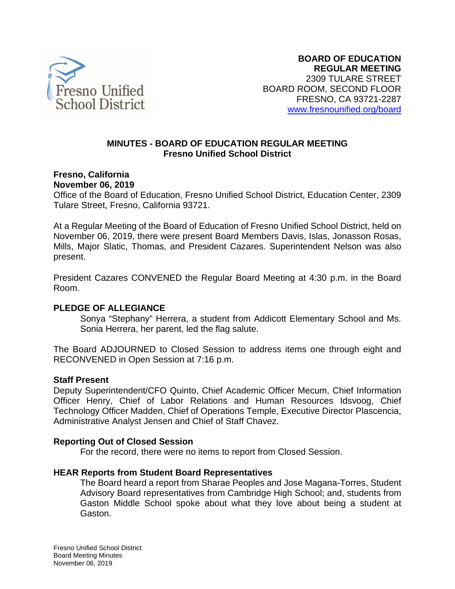

#### **MINUTES - BOARD OF EDUCATION REGULAR MEETING Fresno Unified School District**

**Fresno, California November 06, 2019**

Office of the Board of Education, Fresno Unified School District, Education Center, 2309 Tulare Street, Fresno, California 93721.

At a Regular Meeting of the Board of Education of Fresno Unified School District, held on November 06, 2019, there were present Board Members Davis, Islas, Jonasson Rosas, Mills, Major Slatic, Thomas, and President Cazares. Superintendent Nelson was also present.

President Cazares CONVENED the Regular Board Meeting at 4:30 p.m. in the Board Room.

#### **PLEDGE OF ALLEGIANCE**

Sonya "Stephany" Herrera, a student from Addicott Elementary School and Ms. Sonia Herrera, her parent, led the flag salute.

The Board ADJOURNED to Closed Session to address items one through eight and RECONVENED in Open Session at 7:16 p.m.

#### **Staff Present**

Deputy Superintendent/CFO Quinto, Chief Academic Officer Mecum, Chief Information Officer Henry, Chief of Labor Relations and Human Resources Idsvoog, Chief Technology Officer Madden, Chief of Operations Temple, Executive Director Plascencia, Administrative Analyst Jensen and Chief of Staff Chavez.

#### **Reporting Out of Closed Session**

For the record, there were no items to report from Closed Session.

#### **HEAR Reports from Student Board Representatives**

The Board heard a report from Sharae Peoples and Jose Magana-Torres, Student Advisory Board representatives from Cambridge High School; and, students from Gaston Middle School spoke about what they love about being a student at Gaston.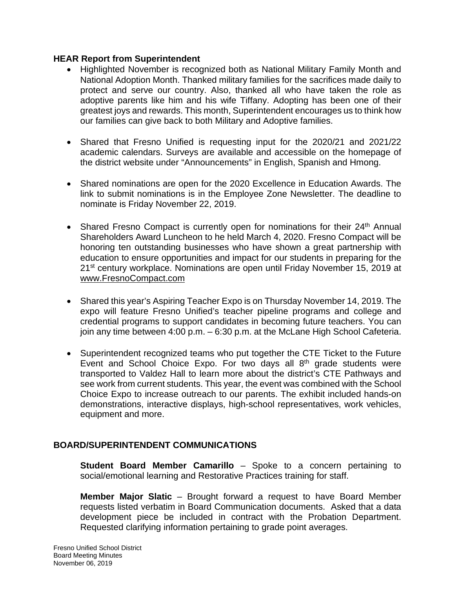#### **HEAR Report from Superintendent**

- Highlighted November is recognized both as National Military Family Month and National Adoption Month. Thanked military families for the sacrifices made daily to protect and serve our country. Also, thanked all who have taken the role as adoptive parents like him and his wife Tiffany. Adopting has been one of their greatest joys and rewards. This month, Superintendent encourages us to think how our families can give back to both Military and Adoptive families.
- Shared that Fresno Unified is requesting input for the 2020/21 and 2021/22 academic calendars. Surveys are available and accessible on the homepage of the district website under "Announcements" in English, Spanish and Hmong.
- Shared nominations are open for the 2020 Excellence in Education Awards. The link to submit nominations is in the Employee Zone Newsletter. The deadline to nominate is Friday November 22, 2019.
- Shared Fresno Compact is currently open for nominations for their 24<sup>th</sup> Annual Shareholders Award Luncheon to he held March 4, 2020. Fresno Compact will be honoring ten outstanding businesses who have shown a great partnership with education to ensure opportunities and impact for our students in preparing for the 21<sup>st</sup> century workplace. Nominations are open until Friday November 15, 2019 at [www.FresnoCompact.com](https://nam02.safelinks.protection.outlook.com/?url=http%3A%2F%2Fwww.FresnoCompact.com&data=02%7C01%7CGina.Moya%40fresnounified.org%7Cbbf898e3ab2e41d3a4bd08d7634e5daa%7C74c9008303c6453a801c9251cdd17eb8%7C0%7C0%7C637087060550967413&sdata=EWiZKZNjVHcgIqxomMWWsbnXQguvDpTKsN5TW98AS6Q%3D&reserved=0)
- Shared this year's Aspiring Teacher Expo is on Thursday November 14, 2019. The expo will feature Fresno Unified's teacher pipeline programs and college and credential programs to support candidates in becoming future teachers. You can join any time between 4:00 p.m. – 6:30 p.m. at the McLane High School Cafeteria.
- Superintendent recognized teams who put together the CTE Ticket to the Future Event and School Choice Expo. For two days all  $8<sup>th</sup>$  grade students were transported to Valdez Hall to learn more about the district's CTE Pathways and see work from current students. This year, the event was combined with the School Choice Expo to increase outreach to our parents. The exhibit included hands-on demonstrations, interactive displays, high-school representatives, work vehicles, equipment and more.

## **BOARD/SUPERINTENDENT COMMUNICATIONS**

**Student Board Member Camarillo** – Spoke to a concern pertaining to social/emotional learning and Restorative Practices training for staff.

**Member Major Slatic** – Brought forward a request to have Board Member requests listed verbatim in Board Communication documents. Asked that a data development piece be included in contract with the Probation Department. Requested clarifying information pertaining to grade point averages.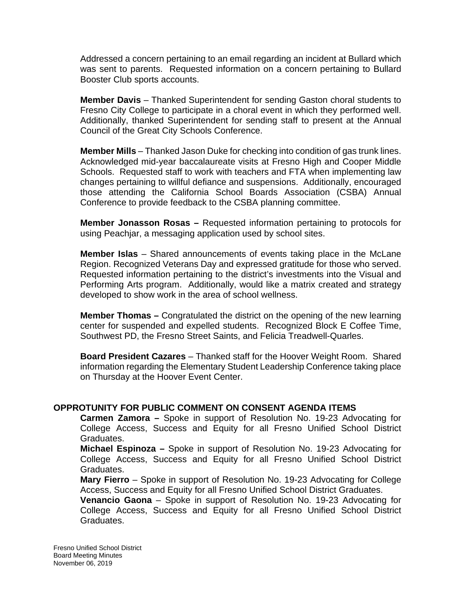Addressed a concern pertaining to an email regarding an incident at Bullard which was sent to parents. Requested information on a concern pertaining to Bullard Booster Club sports accounts.

**Member Davis** – Thanked Superintendent for sending Gaston choral students to Fresno City College to participate in a choral event in which they performed well. Additionally, thanked Superintendent for sending staff to present at the Annual Council of the Great City Schools Conference.

**Member Mills** – Thanked Jason Duke for checking into condition of gas trunk lines. Acknowledged mid-year baccalaureate visits at Fresno High and Cooper Middle Schools. Requested staff to work with teachers and FTA when implementing law changes pertaining to willful defiance and suspensions. Additionally, encouraged those attending the California School Boards Association (CSBA) Annual Conference to provide feedback to the CSBA planning committee.

**Member Jonasson Rosas –** Requested information pertaining to protocols for using Peachjar, a messaging application used by school sites.

**Member Islas** – Shared announcements of events taking place in the McLane Region. Recognized Veterans Day and expressed gratitude for those who served. Requested information pertaining to the district's investments into the Visual and Performing Arts program. Additionally, would like a matrix created and strategy developed to show work in the area of school wellness.

**Member Thomas –** Congratulated the district on the opening of the new learning center for suspended and expelled students. Recognized Block E Coffee Time, Southwest PD, the Fresno Street Saints, and Felicia Treadwell-Quarles.

**Board President Cazares** – Thanked staff for the Hoover Weight Room. Shared information regarding the Elementary Student Leadership Conference taking place on Thursday at the Hoover Event Center.

#### **OPPROTUNITY FOR PUBLIC COMMENT ON CONSENT AGENDA ITEMS**

**Carmen Zamora –** Spoke in support of Resolution No. 19-23 Advocating for College Access, Success and Equity for all Fresno Unified School District Graduates.

**Michael Espinoza –** Spoke in support of Resolution No. 19-23 Advocating for College Access, Success and Equity for all Fresno Unified School District Graduates.

**Mary Fierro** – Spoke in support of Resolution No. 19-23 Advocating for College Access, Success and Equity for all Fresno Unified School District Graduates.

**Venancio Gaona** – Spoke in support of Resolution No. 19-23 Advocating for College Access, Success and Equity for all Fresno Unified School District Graduates.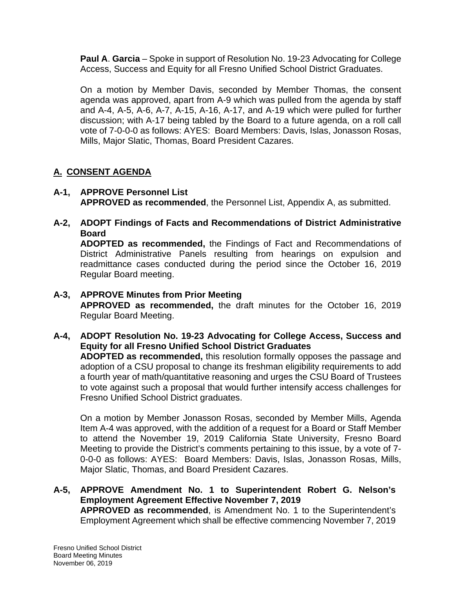**Paul A**. **Garcia** – Spoke in support of Resolution No. 19-23 Advocating for College Access, Success and Equity for all Fresno Unified School District Graduates.

On a motion by Member Davis, seconded by Member Thomas, the consent agenda was approved, apart from A-9 which was pulled from the agenda by staff and A-4, A-5, A-6, A-7, A-15, A-16, A-17, and A-19 which were pulled for further discussion; with A-17 being tabled by the Board to a future agenda, on a roll call vote of 7-0-0-0 as follows: AYES: Board Members: Davis, Islas, Jonasson Rosas, Mills, Major Slatic, Thomas, Board President Cazares.

# **A. CONSENT AGENDA**

- **A-1, APPROVE Personnel List APPROVED as recommended**, the Personnel List, Appendix A, as submitted.
- **A-2, ADOPT Findings of Facts and Recommendations of District Administrative Board**

**ADOPTED as recommended,** the Findings of Fact and Recommendations of District Administrative Panels resulting from hearings on expulsion and readmittance cases conducted during the period since the October 16, 2019 Regular Board meeting.

#### **A-3, APPROVE Minutes from Prior Meeting APPROVED as recommended,** the draft minutes for the October 16, 2019 Regular Board Meeting.

#### **A-4, ADOPT Resolution No. 19-23 Advocating for College Access, Success and Equity for all Fresno Unified School District Graduates ADOPTED as recommended,** this resolution formally opposes the passage and adoption of a CSU proposal to change its freshman eligibility requirements to add a fourth year of math/quantitative reasoning and urges the CSU Board of Trustees to vote against such a proposal that would further intensify access challenges for Fresno Unified School District graduates.

On a motion by Member Jonasson Rosas, seconded by Member Mills, Agenda Item A-4 was approved, with the addition of a request for a Board or Staff Member to attend the November 19, 2019 California State University, Fresno Board Meeting to provide the District's comments pertaining to this issue, by a vote of 7- 0-0-0 as follows: AYES: Board Members: Davis, Islas, Jonasson Rosas, Mills, Major Slatic, Thomas, and Board President Cazares.

#### **A-5, APPROVE Amendment No. 1 to Superintendent Robert G. Nelson's Employment Agreement Effective November 7, 2019 APPROVED as recommended**, is Amendment No. 1 to the Superintendent's Employment Agreement which shall be effective commencing November 7, 2019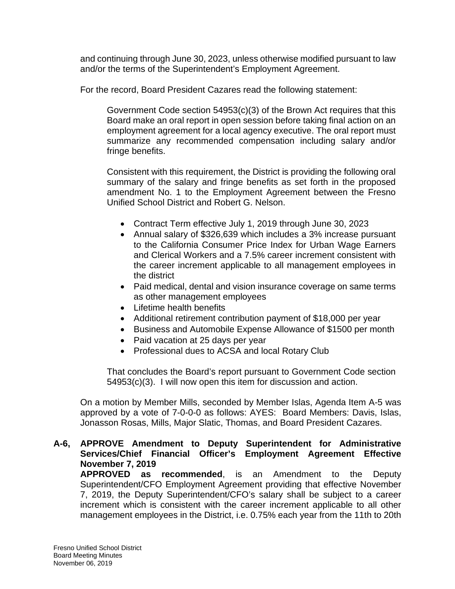and continuing through June 30, 2023, unless otherwise modified pursuant to law and/or the terms of the Superintendent's Employment Agreement.

For the record, Board President Cazares read the following statement:

Government Code section 54953(c)(3) of the Brown Act requires that this Board make an oral report in open session before taking final action on an employment agreement for a local agency executive. The oral report must summarize any recommended compensation including salary and/or fringe benefits.

Consistent with this requirement, the District is providing the following oral summary of the salary and fringe benefits as set forth in the proposed amendment No. 1 to the Employment Agreement between the Fresno Unified School District and Robert G. Nelson.

- Contract Term effective July 1, 2019 through June 30, 2023
- Annual salary of \$326,639 which includes a 3% increase pursuant to the California Consumer Price Index for Urban Wage Earners and Clerical Workers and a 7.5% career increment consistent with the career increment applicable to all management employees in the district
- Paid medical, dental and vision insurance coverage on same terms as other management employees
- Lifetime health benefits
- Additional retirement contribution payment of \$18,000 per year
- Business and Automobile Expense Allowance of \$1500 per month
- Paid vacation at 25 days per year
- Professional dues to ACSA and local Rotary Club

That concludes the Board's report pursuant to Government Code section 54953(c)(3). I will now open this item for discussion and action.

On a motion by Member Mills, seconded by Member Islas, Agenda Item A-5 was approved by a vote of 7-0-0-0 as follows: AYES: Board Members: Davis, Islas, Jonasson Rosas, Mills, Major Slatic, Thomas, and Board President Cazares.

**A-6, APPROVE Amendment to Deputy Superintendent for Administrative Services/Chief Financial Officer's Employment Agreement Effective November 7, 2019**

**APPROVED as recommended**, is an Amendment to the Deputy Superintendent/CFO Employment Agreement providing that effective November 7, 2019, the Deputy Superintendent/CFO's salary shall be subject to a career increment which is consistent with the career increment applicable to all other management employees in the District, i.e. 0.75% each year from the 11th to 20th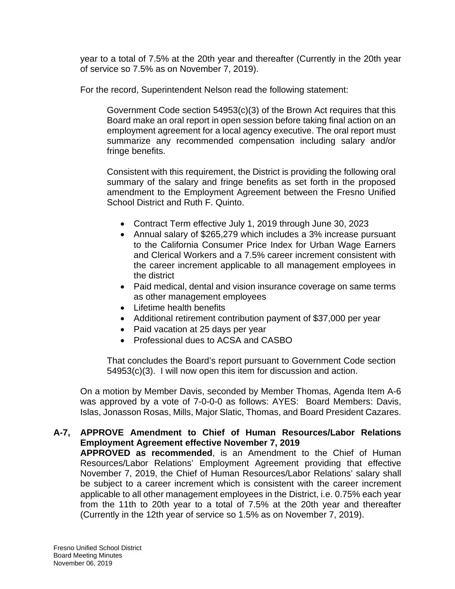year to a total of 7.5% at the 20th year and thereafter (Currently in the 20th year of service so 7.5% as on November 7, 2019).

For the record, Superintendent Nelson read the following statement:

Government Code section 54953(c)(3) of the Brown Act requires that this Board make an oral report in open session before taking final action on an employment agreement for a local agency executive. The oral report must summarize any recommended compensation including salary and/or fringe benefits.

Consistent with this requirement, the District is providing the following oral summary of the salary and fringe benefits as set forth in the proposed amendment to the Employment Agreement between the Fresno Unified School District and Ruth F. Quinto.

- Contract Term effective July 1, 2019 through June 30, 2023
- Annual salary of \$265,279 which includes a 3% increase pursuant to the California Consumer Price Index for Urban Wage Earners and Clerical Workers and a 7.5% career increment consistent with the career increment applicable to all management employees in the district
- Paid medical, dental and vision insurance coverage on same terms as other management employees
- Lifetime health benefits
- Additional retirement contribution payment of \$37,000 per year
- Paid vacation at 25 days per year
- Professional dues to ACSA and CASBO

That concludes the Board's report pursuant to Government Code section 54953(c)(3). I will now open this item for discussion and action.

On a motion by Member Davis, seconded by Member Thomas, Agenda Item A-6 was approved by a vote of 7-0-0-0 as follows: AYES: Board Members: Davis, Islas, Jonasson Rosas, Mills, Major Slatic, Thomas, and Board President Cazares.

**A-7, APPROVE Amendment to Chief of Human Resources/Labor Relations Employment Agreement effective November 7, 2019 APPROVED as recommended**, is an Amendment to the Chief of Human

Resources/Labor Relations' Employment Agreement providing that effective November 7, 2019, the Chief of Human Resources/Labor Relations' salary shall be subject to a career increment which is consistent with the career increment applicable to all other management employees in the District, i.e. 0.75% each year from the 11th to 20th year to a total of 7.5% at the 20th year and thereafter (Currently in the 12th year of service so 1.5% as on November 7, 2019).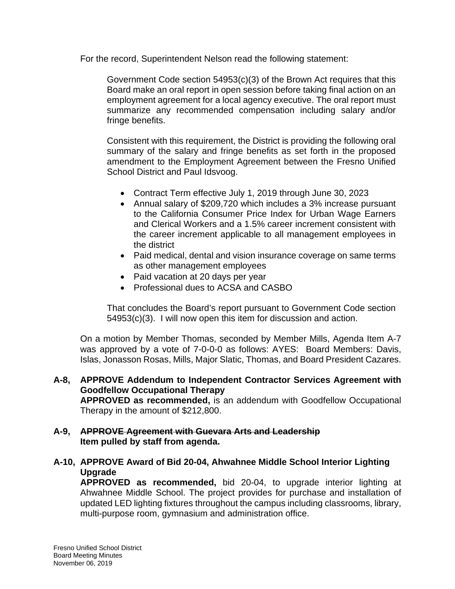For the record, Superintendent Nelson read the following statement:

Government Code section 54953(c)(3) of the Brown Act requires that this Board make an oral report in open session before taking final action on an employment agreement for a local agency executive. The oral report must summarize any recommended compensation including salary and/or fringe benefits.

Consistent with this requirement, the District is providing the following oral summary of the salary and fringe benefits as set forth in the proposed amendment to the Employment Agreement between the Fresno Unified School District and Paul Idsvoog.

- Contract Term effective July 1, 2019 through June 30, 2023
- Annual salary of \$209,720 which includes a 3% increase pursuant to the California Consumer Price Index for Urban Wage Earners and Clerical Workers and a 1.5% career increment consistent with the career increment applicable to all management employees in the district
- Paid medical, dental and vision insurance coverage on same terms as other management employees
- Paid vacation at 20 days per year
- Professional dues to ACSA and CASBO

That concludes the Board's report pursuant to Government Code section 54953(c)(3). I will now open this item for discussion and action.

On a motion by Member Thomas, seconded by Member Mills, Agenda Item A-7 was approved by a vote of 7-0-0-0 as follows: AYES: Board Members: Davis, Islas, Jonasson Rosas, Mills, Major Slatic, Thomas, and Board President Cazares.

**A-8, APPROVE Addendum to Independent Contractor Services Agreement with Goodfellow Occupational Therapy APPROVED as recommended,** is an addendum with Goodfellow Occupational Therapy in the amount of \$212,800.

#### **A-9, APPROVE Agreement with Guevara Arts and Leadership Item pulled by staff from agenda.**

## **A-10, APPROVE Award of Bid 20-04, Ahwahnee Middle School Interior Lighting Upgrade**

**APPROVED as recommended,** bid 20-04, to upgrade interior lighting at Ahwahnee Middle School. The project provides for purchase and installation of updated LED lighting fixtures throughout the campus including classrooms, library, multi-purpose room, gymnasium and administration office.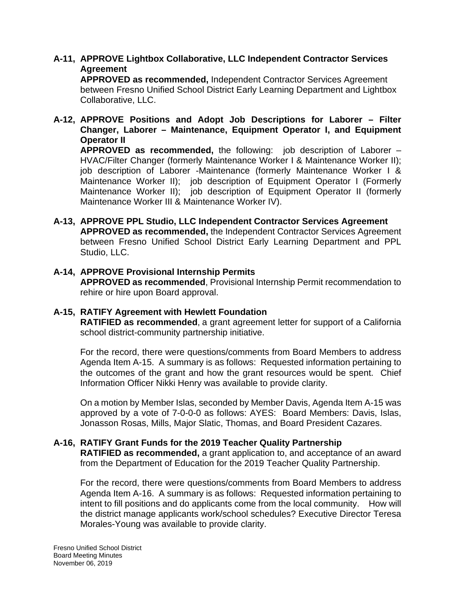## **A-11, APPROVE Lightbox Collaborative, LLC Independent Contractor Services Agreement**

**APPROVED as recommended,** Independent Contractor Services Agreement between Fresno Unified School District Early Learning Department and Lightbox Collaborative, LLC.

### **A-12, APPROVE Positions and Adopt Job Descriptions for Laborer – Filter Changer, Laborer – Maintenance, Equipment Operator I, and Equipment Operator II**

**APPROVED as recommended,** the following: job description of Laborer – HVAC/Filter Changer (formerly Maintenance Worker I & Maintenance Worker II); job description of Laborer -Maintenance (formerly Maintenance Worker I & Maintenance Worker II); job description of Equipment Operator I (Formerly Maintenance Worker II); job description of Equipment Operator II (formerly Maintenance Worker III & Maintenance Worker IV).

### **A-13, APPROVE PPL Studio, LLC Independent Contractor Services Agreement APPROVED as recommended,** the Independent Contractor Services Agreement between Fresno Unified School District Early Learning Department and PPL Studio, LLC.

## **A-14, APPROVE Provisional Internship Permits**

**APPROVED as recommended**, Provisional Internship Permit recommendation to rehire or hire upon Board approval.

#### **A-15, RATIFY Agreement with Hewlett Foundation**

**RATIFIED as recommended**, a grant agreement letter for support of a California school district-community partnership initiative.

For the record, there were questions/comments from Board Members to address Agenda Item A-15. A summary is as follows: Requested information pertaining to the outcomes of the grant and how the grant resources would be spent. Chief Information Officer Nikki Henry was available to provide clarity.

On a motion by Member Islas, seconded by Member Davis, Agenda Item A-15 was approved by a vote of 7-0-0-0 as follows: AYES: Board Members: Davis, Islas, Jonasson Rosas, Mills, Major Slatic, Thomas, and Board President Cazares.

## **A-16, RATIFY Grant Funds for the 2019 Teacher Quality Partnership**

**RATIFIED as recommended,** a grant application to, and acceptance of an award from the Department of Education for the 2019 Teacher Quality Partnership.

For the record, there were questions/comments from Board Members to address Agenda Item A-16. A summary is as follows: Requested information pertaining to intent to fill positions and do applicants come from the local community. How will the district manage applicants work/school schedules? Executive Director Teresa Morales-Young was available to provide clarity.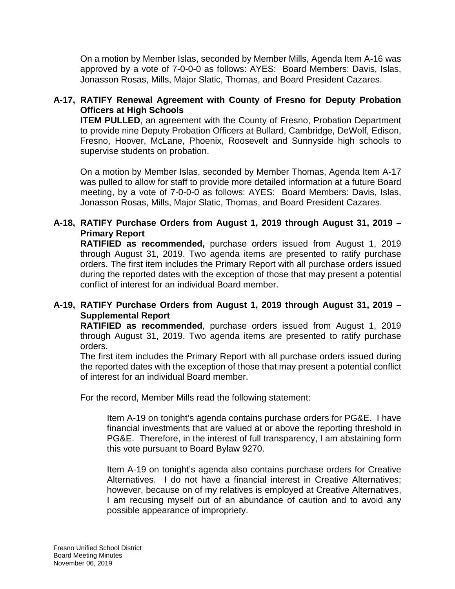On a motion by Member Islas, seconded by Member Mills, Agenda Item A-16 was approved by a vote of 7-0-0-0 as follows: AYES: Board Members: Davis, Islas, Jonasson Rosas, Mills, Major Slatic, Thomas, and Board President Cazares.

## **A-17, RATIFY Renewal Agreement with County of Fresno for Deputy Probation Officers at High Schools**

**ITEM PULLED**, an agreement with the County of Fresno, Probation Department to provide nine Deputy Probation Officers at Bullard, Cambridge, DeWolf, Edison, Fresno, Hoover, McLane, Phoenix, Roosevelt and Sunnyside high schools to supervise students on probation.

On a motion by Member Islas, seconded by Member Thomas, Agenda Item A-17 was pulled to allow for staff to provide more detailed information at a future Board meeting, by a vote of 7-0-0-0 as follows: AYES: Board Members: Davis, Islas, Jonasson Rosas, Mills, Major Slatic, Thomas, and Board President Cazares.

## **A-18, RATIFY Purchase Orders from August 1, 2019 through August 31, 2019 – Primary Report**

**RATIFIED as recommended,** purchase orders issued from August 1, 2019 through August 31, 2019. Two agenda items are presented to ratify purchase orders. The first item includes the Primary Report with all purchase orders issued during the reported dates with the exception of those that may present a potential conflict of interest for an individual Board member.

## **A-19, RATIFY Purchase Orders from August 1, 2019 through August 31, 2019 – Supplemental Report**

**RATIFIED as recommended**, purchase orders issued from August 1, 2019 through August 31, 2019. Two agenda items are presented to ratify purchase orders.

The first item includes the Primary Report with all purchase orders issued during the reported dates with the exception of those that may present a potential conflict of interest for an individual Board member.

For the record, Member Mills read the following statement:

Item A-19 on tonight's agenda contains purchase orders for PG&E. I have financial investments that are valued at or above the reporting threshold in PG&E. Therefore, in the interest of full transparency, I am abstaining form this vote pursuant to Board Bylaw 9270.

Item A-19 on tonight's agenda also contains purchase orders for Creative Alternatives. I do not have a financial interest in Creative Alternatives; however, because on of my relatives is employed at Creative Alternatives, I am recusing myself out of an abundance of caution and to avoid any possible appearance of impropriety.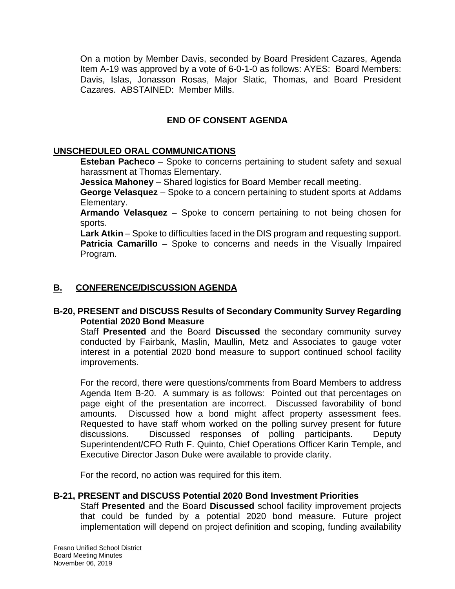On a motion by Member Davis, seconded by Board President Cazares, Agenda Item A-19 was approved by a vote of 6-0-1-0 as follows: AYES: Board Members: Davis, Islas, Jonasson Rosas, Major Slatic, Thomas, and Board President Cazares. ABSTAINED: Member Mills.

## **END OF CONSENT AGENDA**

## **UNSCHEDULED ORAL COMMUNICATIONS**

**Esteban Pacheco** – Spoke to concerns pertaining to student safety and sexual harassment at Thomas Elementary.

**Jessica Mahoney** – Shared logistics for Board Member recall meeting.

**George Velasquez** – Spoke to a concern pertaining to student sports at Addams Elementary.

**Armando Velasquez** – Spoke to concern pertaining to not being chosen for sports.

**Lark Atkin** – Spoke to difficulties faced in the DIS program and requesting support. **Patricia Camarillo** – Spoke to concerns and needs in the Visually Impaired Program.

## **B. CONFERENCE/DISCUSSION AGENDA**

## **B-20, PRESENT and DISCUSS Results of Secondary Community Survey Regarding Potential 2020 Bond Measure**

Staff **Presented** and the Board **Discussed** the secondary community survey conducted by Fairbank, Maslin, Maullin, Metz and Associates to gauge voter interest in a potential 2020 bond measure to support continued school facility improvements.

For the record, there were questions/comments from Board Members to address Agenda Item B-20. A summary is as follows: Pointed out that percentages on page eight of the presentation are incorrect. Discussed favorability of bond amounts. Discussed how a bond might affect property assessment fees. Requested to have staff whom worked on the polling survey present for future discussions. Discussed responses of polling participants. Deputy Superintendent/CFO Ruth F. Quinto, Chief Operations Officer Karin Temple, and Executive Director Jason Duke were available to provide clarity.

For the record, no action was required for this item.

#### **B-21, PRESENT and DISCUSS Potential 2020 Bond Investment Priorities**

Staff **Presented** and the Board **Discussed** school facility improvement projects that could be funded by a potential 2020 bond measure. Future project implementation will depend on project definition and scoping, funding availability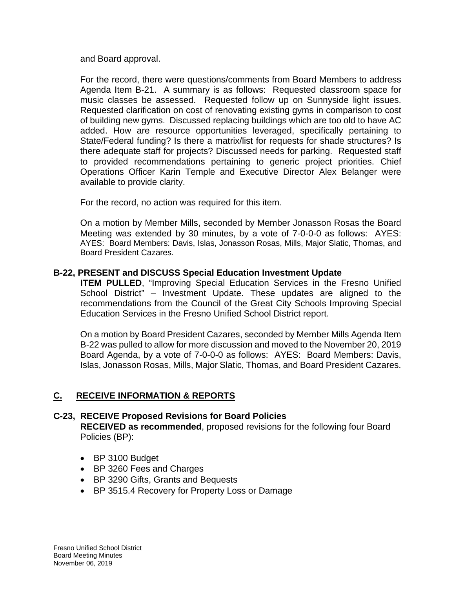and Board approval.

For the record, there were questions/comments from Board Members to address Agenda Item B-21. A summary is as follows: Requested classroom space for music classes be assessed. Requested follow up on Sunnyside light issues. Requested clarification on cost of renovating existing gyms in comparison to cost of building new gyms. Discussed replacing buildings which are too old to have AC added. How are resource opportunities leveraged, specifically pertaining to State/Federal funding? Is there a matrix/list for requests for shade structures? Is there adequate staff for projects? Discussed needs for parking. Requested staff to provided recommendations pertaining to generic project priorities. Chief Operations Officer Karin Temple and Executive Director Alex Belanger were available to provide clarity.

For the record, no action was required for this item.

On a motion by Member Mills, seconded by Member Jonasson Rosas the Board Meeting was extended by 30 minutes, by a vote of 7-0-0-0 as follows: AYES: AYES: Board Members: Davis, Islas, Jonasson Rosas, Mills, Major Slatic, Thomas, and Board President Cazares.

#### **B-22, PRESENT and DISCUSS Special Education Investment Update**

**ITEM PULLED,** "Improving Special Education Services in the Fresno Unified School District" – Investment Update. These updates are aligned to the recommendations from the Council of the Great City Schools Improving Special Education Services in the Fresno Unified School District report.

On a motion by Board President Cazares, seconded by Member Mills Agenda Item B-22 was pulled to allow for more discussion and moved to the November 20, 2019 Board Agenda, by a vote of 7-0-0-0 as follows: AYES: Board Members: Davis, Islas, Jonasson Rosas, Mills, Major Slatic, Thomas, and Board President Cazares.

# **C. RECEIVE INFORMATION & REPORTS**

# **C-23, RECEIVE Proposed Revisions for Board Policies**

**RECEIVED as recommended**, proposed revisions for the following four Board Policies (BP):

- BP 3100 Budget
- BP 3260 Fees and Charges
- BP 3290 Gifts, Grants and Bequests
- BP 3515.4 Recovery for Property Loss or Damage